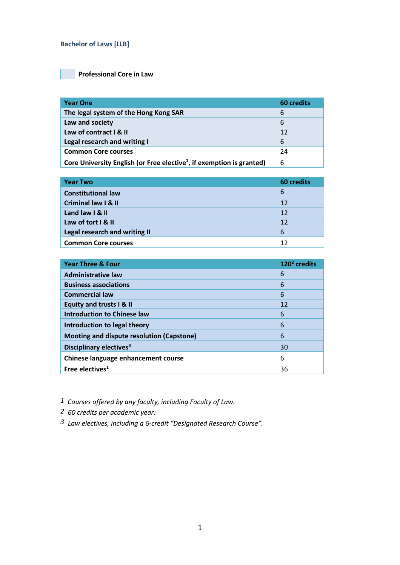#### **Bachelor of Laws [LLB]**

# **Professional Core in Law**

| <b>Year One</b>                                                                   | <b>60 credits</b> |
|-----------------------------------------------------------------------------------|-------------------|
| The legal system of the Hong Kong SAR                                             | 6                 |
| Law and society                                                                   | 6                 |
| Law of contract I & II                                                            | 12                |
| Legal research and writing I                                                      | 6                 |
| <b>Common Core courses</b>                                                        | 24                |
| Core University English (or Free elective <sup>1</sup> , if exemption is granted) | 6                 |

| <b>Year Two</b>                | <b>60 credits</b> |
|--------------------------------|-------------------|
| <b>Constitutional law</b>      | 6                 |
| <b>Criminal law I &amp; II</b> | 12                |
| Land law I & II                | 12                |
| Law of tort I & II             | 12                |
| Legal research and writing II  | 6                 |
| <b>Common Core courses</b>     | 12                |

| <b>Year Three &amp; Four</b>              | $1202$ credits |
|-------------------------------------------|----------------|
| <b>Administrative law</b>                 | 6              |
| <b>Business associations</b>              | 6              |
| <b>Commercial law</b>                     | 6              |
| <b>Equity and trusts I &amp; II</b>       | 12             |
| <b>Introduction to Chinese law</b>        | 6              |
| Introduction to legal theory              | 6              |
| Mooting and dispute resolution (Capstone) | 6              |
| Disciplinary electives <sup>3</sup>       | 30             |
| Chinese language enhancement course       | 6              |
| Free electives <sup>1</sup>               | 36             |

*1 Courses offered by any faculty, including Faculty of Law.*

*2 60 credits per academic year.* 

*3 Law electives, including a 6-credit "Designated Research Course".*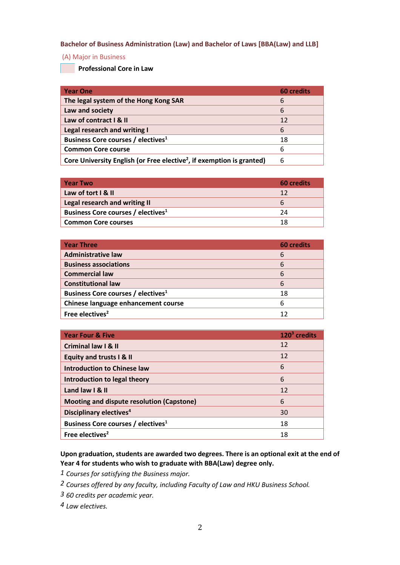### **Bachelor of Business Administration (Law) and Bachelor of Laws [BBA(Law) and LLB]**

#### (A) Major in Business

**Professional Core in Law**

| <b>Year One</b>                                                                   | <b>60 credits</b> |
|-----------------------------------------------------------------------------------|-------------------|
| The legal system of the Hong Kong SAR                                             | 6                 |
| Law and society                                                                   | 6                 |
| Law of contract I & II                                                            | 12                |
| Legal research and writing I                                                      | 6                 |
| Business Core courses / electives <sup>1</sup>                                    | 18                |
| <b>Common Core course</b>                                                         | 6                 |
| Core University English (or Free elective <sup>2</sup> , if exemption is granted) | 6                 |

| <b>Year Two</b>                                | 60 credits |
|------------------------------------------------|------------|
| Law of tort I & II                             | 12         |
| Legal research and writing II                  | b          |
| Business Core courses / electives <sup>1</sup> | 24         |
| <b>Common Core courses</b>                     | 18         |
|                                                |            |

| <b>Year Three</b>                              | <b>60 credits</b> |
|------------------------------------------------|-------------------|
| <b>Administrative law</b>                      | 6                 |
| <b>Business associations</b>                   | 6                 |
| <b>Commercial law</b>                          | 6                 |
| <b>Constitutional law</b>                      | 6                 |
| Business Core courses / electives <sup>1</sup> | 18                |
| Chinese language enhancement course            | 6                 |
| Free electives <sup>2</sup>                    | 12                |

| <b>Year Four &amp; Five</b>                    | $1203$ credits |
|------------------------------------------------|----------------|
| <b>Criminal law I &amp; II</b>                 | 12             |
| <b>Equity and trusts I &amp; II</b>            | 12             |
| <b>Introduction to Chinese law</b>             | 6              |
| Introduction to legal theory                   | 6              |
| Land law I & II                                | 12             |
| Mooting and dispute resolution (Capstone)      | 6              |
| Disciplinary electives <sup>4</sup>            | 30             |
| Business Core courses / electives <sup>1</sup> | 18             |
| Free electives <sup>2</sup>                    | 18             |

**Upon graduation, students are awarded two degrees. There is an optional exit at the end of Year 4 for students who wish to graduate with BBA(Law) degree only.**

*1 Courses for satisfying the Business major.*

- *2 Courses offered by any faculty, including Faculty of Law and HKU Business School.*
- *3 60 credits per academic year.*
- *4 Law electives.*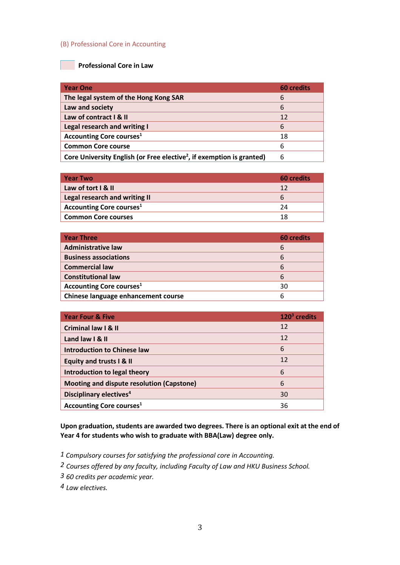### (B) Professional Core in Accounting

## **Professional Core in Law**

| <b>Year One</b>                                                                   | <b>60 credits</b> |
|-----------------------------------------------------------------------------------|-------------------|
| The legal system of the Hong Kong SAR                                             | 6                 |
| Law and society                                                                   | 6                 |
| Law of contract   & II                                                            | 12                |
| Legal research and writing I                                                      | 6                 |
| <b>Accounting Core courses</b> <sup>1</sup>                                       | 18                |
| <b>Common Core course</b>                                                         | 6                 |
| Core University English (or Free elective <sup>2</sup> , if exemption is granted) | 6                 |

| <b>Year Two</b>                 | 60 credits |
|---------------------------------|------------|
| Law of tort I & II              | 12         |
| Legal research and writing II   | b          |
| <b>Accounting Core courses1</b> | 24         |
| <b>Common Core courses</b>      | 18         |

| <b>Year Three</b>                   | <b>60 credits</b> |
|-------------------------------------|-------------------|
| <b>Administrative law</b>           | 6                 |
| <b>Business associations</b>        | 6                 |
| <b>Commercial law</b>               | 6                 |
| <b>Constitutional law</b>           | 6                 |
| <b>Accounting Core courses1</b>     | 30                |
| Chinese language enhancement course |                   |

| <b>Year Four &amp; Five</b>                | $1203$ credits |
|--------------------------------------------|----------------|
| <b>Criminal law I &amp; II</b>             | 12             |
| Land law I & II                            | 12             |
| <b>Introduction to Chinese law</b>         | 6              |
| <b>Equity and trusts I &amp; II</b>        | 12             |
| Introduction to legal theory               | 6              |
| Mooting and dispute resolution (Capstone)  | 6              |
| Disciplinary electives <sup>4</sup>        | 30             |
| <b>Accounting Core courses<sup>1</sup></b> | 36             |

**Upon graduation, students are awarded two degrees. There is an optional exit at the end of Year 4 for students who wish to graduate with BBA(Law) degree only.**

- *1 Compulsory courses for satisfying the professional core in Accounting.*
- *2 Courses offered by any faculty, including Faculty of Law and HKU Business School.*
- *3 60 credits per academic year.*
- *4 Law electives.*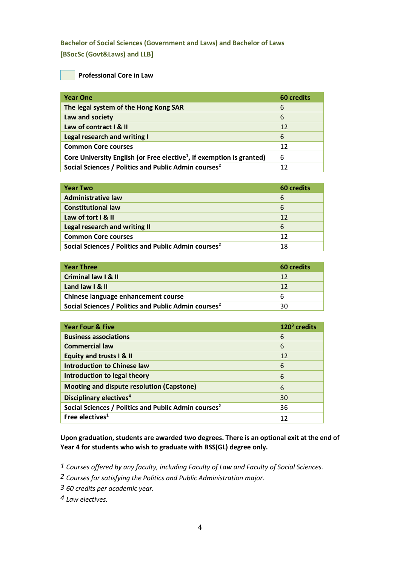# **Bachelor of Social Sciences (Government and Laws) and Bachelor of Laws [BSocSc (Govt&Laws) and LLB]**

### **Professional Core in Law**

| <b>Year One</b>                                                                   | <b>60 credits</b> |
|-----------------------------------------------------------------------------------|-------------------|
| The legal system of the Hong Kong SAR                                             | 6                 |
| Law and society                                                                   | 6                 |
| Law of contract I & II                                                            | 12                |
| <b>Legal research and writing I</b>                                               | 6                 |
| <b>Common Core courses</b>                                                        | 12                |
| Core University English (or Free elective <sup>1</sup> , if exemption is granted) | 6                 |
| Social Sciences / Politics and Public Admin courses <sup>2</sup>                  | 12                |

| <b>Year Two</b>                                                  | <b>60 credits</b> |
|------------------------------------------------------------------|-------------------|
| <b>Administrative law</b>                                        | 6                 |
| <b>Constitutional law</b>                                        | 6                 |
| Law of tort I & II                                               | 12                |
| Legal research and writing II                                    | 6                 |
| <b>Common Core courses</b>                                       | 12                |
| Social Sciences / Politics and Public Admin courses <sup>2</sup> | 18                |

| <b>Year Three</b>                                                | 60 credits |
|------------------------------------------------------------------|------------|
| Criminal law I & II                                              | 12         |
| Land law I & II                                                  | 12         |
| Chinese language enhancement course                              |            |
| Social Sciences / Politics and Public Admin courses <sup>2</sup> | 30         |

| <b>Year Four &amp; Five</b>                                      | $1203$ credits |
|------------------------------------------------------------------|----------------|
| <b>Business associations</b>                                     | 6              |
| <b>Commercial law</b>                                            | 6              |
| <b>Equity and trusts I &amp; II</b>                              | 12             |
| <b>Introduction to Chinese law</b>                               | 6              |
| Introduction to legal theory                                     | 6              |
| Mooting and dispute resolution (Capstone)                        | 6              |
| <b>Disciplinary electives<sup>4</sup></b>                        | 30             |
| Social Sciences / Politics and Public Admin courses <sup>2</sup> | 36             |
| Free electives <sup>1</sup>                                      | 12             |

**Upon graduation, students are awarded two degrees. There is an optional exit at the end of Year 4 for students who wish to graduate with BSS(GL) degree only.**

- *1 Courses offered by any faculty, including Faculty of Law and Faculty of Social Sciences.*
- *2 Courses for satisfying the Politics and Public Administration major.*
- *3 60 credits per academic year.*
- *4 Law electives.*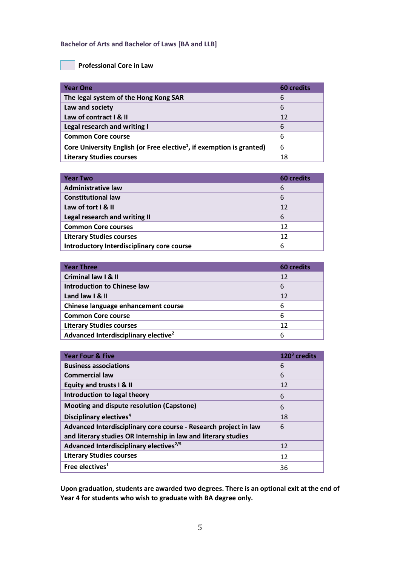#### **Bachelor of Arts and Bachelor of Laws [BA and LLB]**

## **Professional Core in Law**

| <b>Year One</b>                                                                   | <b>60 credits</b> |
|-----------------------------------------------------------------------------------|-------------------|
| The legal system of the Hong Kong SAR                                             | 6                 |
| Law and society                                                                   | 6                 |
| Law of contract   & II                                                            | 12                |
| Legal research and writing I                                                      | 6                 |
| <b>Common Core course</b>                                                         | 6                 |
| Core University English (or Free elective <sup>1</sup> , if exemption is granted) | 6                 |
| <b>Literary Studies courses</b>                                                   | 18                |

| <b>Year Two</b>                            | <b>60 credits</b> |
|--------------------------------------------|-------------------|
| <b>Administrative law</b>                  | 6                 |
| <b>Constitutional law</b>                  | 6                 |
| Law of tort I & II                         | 12                |
| Legal research and writing II              | 6                 |
| <b>Common Core courses</b>                 | 12                |
| <b>Literary Studies courses</b>            | 12                |
| Introductory Interdisciplinary core course |                   |

| <b>Year Three</b>                                | <b>60 credits</b> |
|--------------------------------------------------|-------------------|
| <b>Criminal law I &amp; II</b>                   | 12                |
| <b>Introduction to Chinese law</b>               | 6                 |
| Land law I & II                                  | 12                |
| Chinese language enhancement course              | 6                 |
| <b>Common Core course</b>                        | 6                 |
| <b>Literary Studies courses</b>                  | 12                |
| Advanced Interdisciplinary elective <sup>2</sup> | 6                 |

| <b>Year Four &amp; Five</b>                                      | $1203$ credits |
|------------------------------------------------------------------|----------------|
| <b>Business associations</b>                                     | 6              |
| <b>Commercial law</b>                                            | 6              |
| Equity and trusts I & II                                         | 12             |
| Introduction to legal theory                                     | 6              |
| Mooting and dispute resolution (Capstone)                        | 6              |
| Disciplinary electives <sup>4</sup>                              | 18             |
| Advanced Interdisciplinary core course - Research project in law | 6              |
| and literary studies OR Internship in law and literary studies   |                |
| Advanced Interdisciplinary electives <sup>2/5</sup>              | 12             |
| <b>Literary Studies courses</b>                                  | 12             |
| Free electives <sup>1</sup>                                      | 36             |

**Upon graduation, students are awarded two degrees. There is an optional exit at the end of Year 4 for students who wish to graduate with BA degree only.**